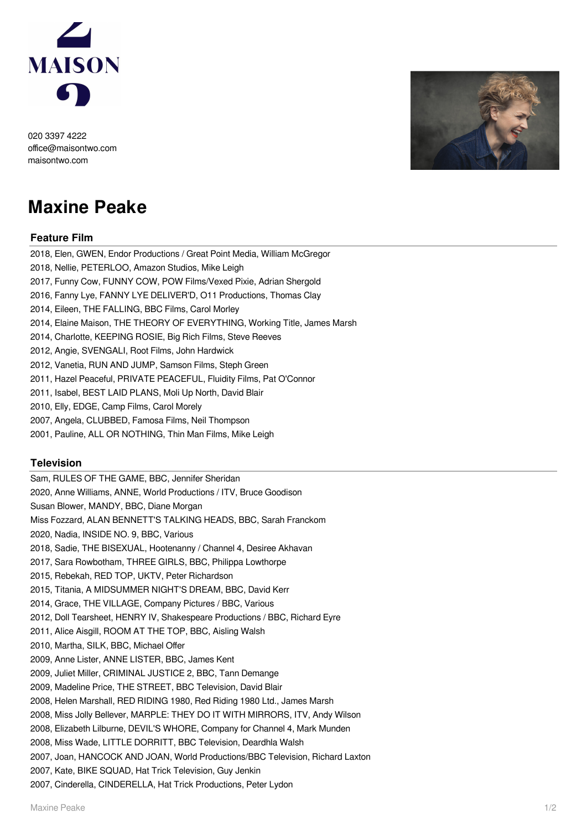

020 3397 4222 office@maisontwo.com maisontwo.com



## **Maxine Peake**

## **Feature Film**

- 2018, Elen, GWEN, Endor Productions / Great Point Media, William McGregor 2018, Nellie, PETERLOO, Amazon Studios, Mike Leigh 2017, Funny Cow, FUNNY COW, POW Films/Vexed Pixie, Adrian Shergold 2016, Fanny Lye, FANNY LYE DELIVER'D, O11 Productions, Thomas Clay 2014, Eileen, THE FALLING, BBC Films, Carol Morley 2014, Elaine Maison, THE THEORY OF EVERYTHING, Working Title, James Marsh 2014, Charlotte, KEEPING ROSIE, Big Rich Films, Steve Reeves 2012, Angie, SVENGALI, Root Films, John Hardwick 2012, Vanetia, RUN AND JUMP, Samson Films, Steph Green 2011, Hazel Peaceful, PRIVATE PEACEFUL, Fluidity Films, Pat O'Connor 2011, Isabel, BEST LAID PLANS, Moli Up North, David Blair 2010, Elly, EDGE, Camp Films, Carol Morely 2007, Angela, CLUBBED, Famosa Films, Neil Thompson
- 2001, Pauline, ALL OR NOTHING, Thin Man Films, Mike Leigh

## **Television**

Sam, RULES OF THE GAME, BBC, Jennifer Sheridan 2020, Anne Williams, ANNE, World Productions / ITV, Bruce Goodison Susan Blower, MANDY, BBC, Diane Morgan Miss Fozzard, ALAN BENNETT'S TALKING HEADS, BBC, Sarah Franckom 2020, Nadia, INSIDE NO. 9, BBC, Various 2018, Sadie, THE BISEXUAL, Hootenanny / Channel 4, Desiree Akhavan 2017, Sara Rowbotham, THREE GIRLS, BBC, Philippa Lowthorpe 2015, Rebekah, RED TOP, UKTV, Peter Richardson 2015, Titania, A MIDSUMMER NIGHT'S DREAM, BBC, David Kerr 2014, Grace, THE VILLAGE, Company Pictures / BBC, Various 2012, Doll Tearsheet, HENRY IV, Shakespeare Productions / BBC, Richard Eyre 2011, Alice Aisgill, ROOM AT THE TOP, BBC, Aisling Walsh 2010, Martha, SILK, BBC, Michael Offer 2009, Anne Lister, ANNE LISTER, BBC, James Kent 2009, Juliet Miller, CRIMINAL JUSTICE 2, BBC, Tann Demange 2009, Madeline Price, THE STREET, BBC Television, David Blair 2008, Helen Marshall, RED RIDING 1980, Red Riding 1980 Ltd., James Marsh 2008, Miss Jolly Bellever, MARPLE: THEY DO IT WITH MIRRORS, ITV, Andy Wilson 2008, Elizabeth Lilburne, DEVIL'S WHORE, Company for Channel 4, Mark Munden 2008, Miss Wade, LITTLE DORRITT, BBC Television, Deardhla Walsh 2007, Joan, HANCOCK AND JOAN, World Productions/BBC Television, Richard Laxton 2007, Kate, BIKE SQUAD, Hat Trick Television, Guy Jenkin 2007, Cinderella, CINDERELLA, Hat Trick Productions, Peter Lydon